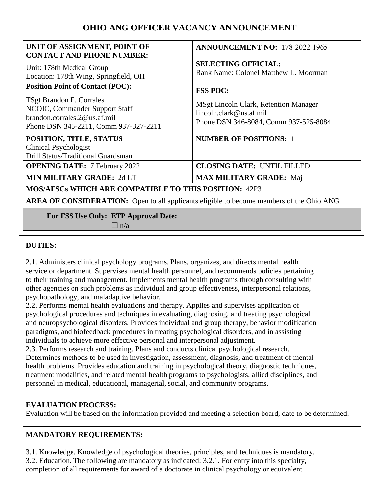# **OHIO ANG OFFICER VACANCY ANNOUNCEMENT**

| UNIT OF ASSIGNMENT, POINT OF<br><b>CONTACT AND PHONE NUMBER:</b>                                                                    | <b>ANNOUNCEMENT NO: 178-2022-1965</b>                                                                       |
|-------------------------------------------------------------------------------------------------------------------------------------|-------------------------------------------------------------------------------------------------------------|
| Unit: 178th Medical Group<br>Location: 178th Wing, Springfield, OH                                                                  | <b>SELECTING OFFICIAL:</b><br>Rank Name: Colonel Matthew L. Moorman                                         |
| <b>Position Point of Contact (POC):</b>                                                                                             | <b>FSS POC:</b>                                                                                             |
| TSgt Brandon E. Corrales<br>NCOIC, Commander Support Staff<br>brandon.corrales.2@us.af.mil<br>Phone DSN 346-2211, Comm 937-327-2211 | MSgt Lincoln Clark, Retention Manager<br>lincoh. clark@us. af. mil<br>Phone DSN 346-8084, Comm 937-525-8084 |
| POSITION, TITLE, STATUS                                                                                                             | <b>NUMBER OF POSITIONS: 1</b>                                                                               |
| <b>Clinical Psychologist</b><br>Drill Status/Traditional Guardsman                                                                  |                                                                                                             |
| <b>OPENING DATE:</b> 7 February 2022                                                                                                | <b>CLOSING DATE: UNTIL FILLED</b>                                                                           |
| <b>MIN MILITARY GRADE: 2d LT</b>                                                                                                    | <b>MAX MILITARY GRADE: Maj</b>                                                                              |
| <b>MOS/AFSCs WHICH ARE COMPATIBLE TO THIS POSITION: 42P3</b>                                                                        |                                                                                                             |
| <b>AREA OF CONSIDERATION:</b> Open to all applicants eligible to become members of the Ohio ANG                                     |                                                                                                             |
| For FSS Use Only: ETP Approval Date:<br>$\Box$ n/a                                                                                  |                                                                                                             |

#### **DUTIES:**

2.1. Administers clinical psychology programs. Plans, organizes, and directs mental health service or department. Supervises mental health personnel, and recommends policies pertaining to their training and management. Implements mental health programs through consulting with other agencies on such problems as individual and group effectiveness, interpersonal relations, psychopathology, and maladaptive behavior.

2.2. Performs mental health evaluations and therapy. Applies and supervises application of psychological procedures and techniques in evaluating, diagnosing, and treating psychological and neuropsychological disorders. Provides individual and group therapy, behavior modification paradigms, and biofeedback procedures in treating psychological disorders, and in assisting individuals to achieve more effective personal and interpersonal adjustment.

2.3. Performs research and training. Plans and conducts clinical psychological research. Determines methods to be used in investigation, assessment, diagnosis, and treatment of mental health problems. Provides education and training in psychological theory, diagnostic techniques, treatment modalities, and related mental health programs to psychologists, allied disciplines, and personnel in medical, educational, managerial, social, and community programs.

#### **EVALUATION PROCESS:**

Evaluation will be based on the information provided and meeting a selection board, date to be determined.

#### **MANDATORY REQUIREMENTS:**

3.1. Knowledge. Knowledge of psychological theories, principles, and techniques is mandatory. 3.2. Education. The following are mandatory as indicated: 3.2.1. For entry into this specialty, completion of all requirements for award of a doctorate in clinical psychology or equivalent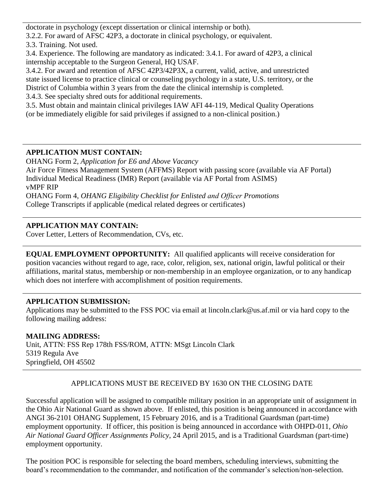doctorate in psychology (except dissertation or clinical internship or both).

3.2.2. For award of AFSC 42P3, a doctorate in clinical psychology, or equivalent.

3.3. Training. Not used.

3.4. Experience. The following are mandatory as indicated: 3.4.1. For award of 42P3, a clinical internship acceptable to the Surgeon General, HQ USAF.

3.4.2. For award and retention of AFSC 42P3/42P3X, a current, valid, active, and unrestricted state issued license to practice clinical or counseling psychology in a state, U.S. territory, or the District of Columbia within 3 years from the date the clinical internship is completed.

3.4.3. See specialty shred outs for additional requirements.

3.5. Must obtain and maintain clinical privileges IAW AFI 44-119, Medical Quality Operations (or be immediately eligible for said privileges if assigned to a non-clinical position.)

# **APPLICATION MUST CONTAIN:**

OHANG Form 2, *Application for E6 and Above Vacancy*  Air Force Fitness Management System (AFFMS) Report with passing score (available via AF Portal) Individual Medical Readiness (IMR) Report (available via AF Portal from ASIMS)

vMPF RIP

OHANG Form 4, *OHANG Eligibility Checklist for Enlisted and Officer Promotions*  College Transcripts if applicable (medical related degrees or certificates)

## **APPLICATION MAY CONTAIN:**

Cover Letter, Letters of Recommendation, CVs, etc.

**EQUAL EMPLOYMENT OPPORTUNITY:** All qualified applicants will receive consideration for position vacancies without regard to age, race, color, religion, sex, national origin, lawful political or their affiliations, marital status, membership or non-membership in an employee organization, or to any handicap which does not interfere with accomplishment of position requirements.

### **APPLICATION SUBMISSION:**

Applications may be submitted to the FSS POC via email at lincoln.clark@us.af.mil or via hard copy to the following mailing address:

## **MAILING ADDRESS:**

Unit, ATTN: FSS Rep 178th FSS/ROM, ATTN: MSgt Lincoln Clark 5319 Regula Ave Springfield, OH 45502

## APPLICATIONS MUST BE RECEIVED BY 1630 ON THE CLOSING DATE

Successful application will be assigned to compatible military position in an appropriate unit of assignment in the Ohio Air National Guard as shown above. If enlisted, this position is being announced in accordance with ANGI 36-2101 OHANG Supplement, 15 February 2016, and is a Traditional Guardsman (part-time) employment opportunity. If officer, this position is being announced in accordance with OHPD-011, *Ohio Air National Guard Officer Assignments Policy*, 24 April 2015, and is a Traditional Guardsman (part-time) employment opportunity.

The position POC is responsible for selecting the board members, scheduling interviews, submitting the board's recommendation to the commander, and notification of the commander's selection/non-selection.